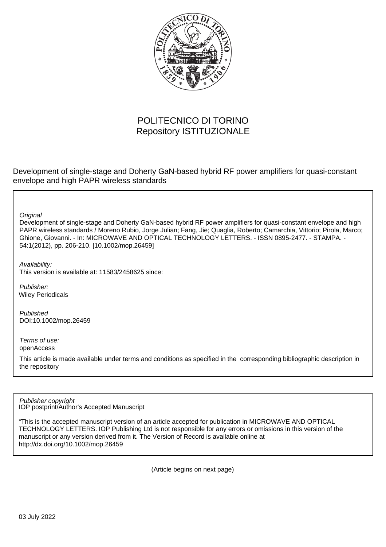

# POLITECNICO DI TORINO Repository ISTITUZIONALE

Development of single-stage and Doherty GaN-based hybrid RF power amplifiers for quasi-constant envelope and high PAPR wireless standards

**Original** 

Development of single-stage and Doherty GaN-based hybrid RF power amplifiers for quasi-constant envelope and high PAPR wireless standards / Moreno Rubio, Jorge Julian; Fang, Jie; Quaglia, Roberto; Camarchia, Vittorio; Pirola, Marco; Ghione, Giovanni. - In: MICROWAVE AND OPTICAL TECHNOLOGY LETTERS. - ISSN 0895-2477. - STAMPA. - 54:1(2012), pp. 206-210. [10.1002/mop.26459]

Availability:

This version is available at: 11583/2458625 since:

Publisher: Wiley Periodicals

Published DOI:10.1002/mop.26459

Terms of use: openAccess

This article is made available under terms and conditions as specified in the corresponding bibliographic description in the repository

IOP postprint/Author's Accepted Manuscript Publisher copyright

"This is the accepted manuscript version of an article accepted for publication in MICROWAVE AND OPTICAL TECHNOLOGY LETTERS. IOP Publishing Ltd is not responsible for any errors or omissions in this version of the manuscript or any version derived from it. The Version of Record is available online at http://dx.doi.org/10.1002/mop.26459

(Article begins on next page)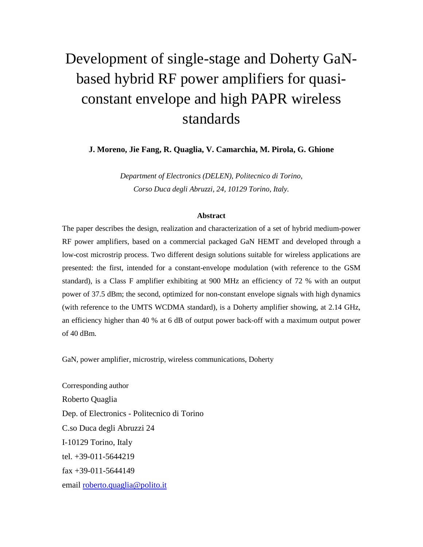# Development of single-stage and Doherty GaNbased hybrid RF power amplifiers for quasiconstant envelope and high PAPR wireless standards

**J. Moreno, Jie Fang, R. Quaglia, V. Camarchia, M. Pirola, G. Ghione**

*Department of Electronics (DELEN), Politecnico di Torino, Corso Duca degli Abruzzi, 24, 10129 Torino, Italy.*

#### **Abstract**

The paper describes the design, realization and characterization of a set of hybrid medium-power RF power amplifiers, based on a commercial packaged GaN HEMT and developed through a low-cost microstrip process. Two different design solutions suitable for wireless applications are presented: the first, intended for a constant-envelope modulation (with reference to the GSM standard), is a Class F amplifier exhibiting at 900 MHz an efficiency of 72 % with an output power of 37.5 dBm; the second, optimized for non-constant envelope signals with high dynamics (with reference to the UMTS WCDMA standard), is a Doherty amplifier showing, at 2.14 GHz, an efficiency higher than 40 % at 6 dB of output power back-off with a maximum output power of 40 dBm.

GaN, power amplifier, microstrip, wireless communications, Doherty

Corresponding author Roberto Quaglia Dep. of Electronics - Politecnico di Torino C.so Duca degli Abruzzi 24 I-10129 Torino, Italy tel. +39-011-5644219 fax +39-011-5644149 email [roberto.quaglia@polito.it](mailto:roberto.quaglia@polito.it)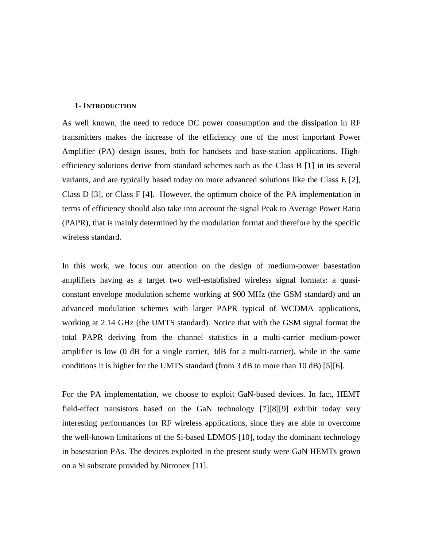#### **1- INTRODUCTION**

As well known, the need to reduce DC power consumption and the dissipation in RF transmitters makes the increase of the efficiency one of the most important Power Amplifier (PA) design issues, both for handsets and base-station applications. Highefficiency solutions derive from standard schemes such as the Class B [\[1\]](#page-11-0) in its several variants, and are typically based today on more advanced solutions like the Class E [\[2\],](#page-11-1) Class D [\[3\],](#page-11-2) or Class F [\[4\].](#page-11-3) However, the optimum choice of the PA implementation in terms of efficiency should also take into account the signal Peak to Average Power Ratio (PAPR), that is mainly determined by the modulation format and therefore by the specific wireless standard.

In this work, we focus our attention on the design of medium-power basestation amplifiers having as a target two well-established wireless signal formats: a quasiconstant envelope modulation scheme working at 900 MHz (the GSM standard) and an advanced modulation schemes with larger PAPR typical of WCDMA applications, working at 2.14 GHz (the UMTS standard). Notice that with the GSM signal format the total PAPR deriving from the channel statistics in a multi-carrier medium-power amplifier is low (0 dB for a single carrier, 3dB for a multi-carrier), while in the same conditions it is higher for the UMTS standard (from 3 dB to more than 10 dB) [\[5\]\[6\].](#page-11-4)

For the PA implementation, we choose to exploit GaN-based devices. In fact, HEMT field-effect transistors based on the GaN technology [\[7\]\[8\]](#page-11-5)[\[9\]](#page-12-0) exhibit today very interesting performances for RF wireless applications, since they are able to overcome the well-known limitations of the Si-based LDMOS [\[10\],](#page-12-1) today the dominant technology in basestation PAs. The devices exploited in the present study were GaN HEMTs grown on a Si substrate provided by Nitronex [\[11\].](#page-12-2)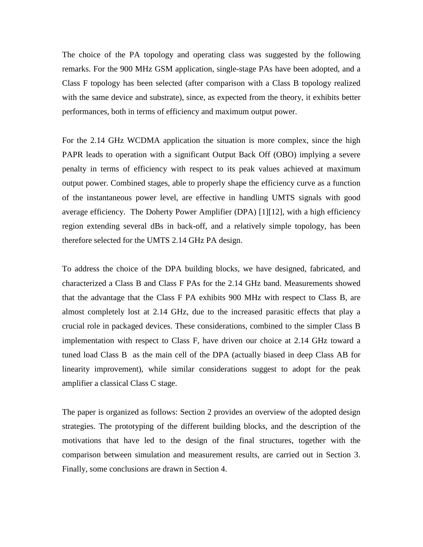The choice of the PA topology and operating class was suggested by the following remarks. For the 900 MHz GSM application, single-stage PAs have been adopted, and a Class F topology has been selected (after comparison with a Class B topology realized with the same device and substrate), since, as expected from the theory, it exhibits better performances, both in terms of efficiency and maximum output power.

For the 2.14 GHz WCDMA application the situation is more complex, since the high PAPR leads to operation with a significant Output Back Off (OBO) implying a severe penalty in terms of efficiency with respect to its peak values achieved at maximum output power. Combined stages, able to properly shape the efficiency curve as a function of the instantaneous power level, are effective in handling UMTS signals with good average efficiency. The Doherty Power Amplifier (DPA) [\[1\]\[12\],](#page-11-0) with a high efficiency region extending several dBs in back-off, and a relatively simple topology, has been therefore selected for the UMTS 2.14 GHz PA design.

To address the choice of the DPA building blocks, we have designed, fabricated, and characterized a Class B and Class F PAs for the 2.14 GHz band. Measurements showed that the advantage that the Class F PA exhibits 900 MHz with respect to Class B, are almost completely lost at 2.14 GHz, due to the increased parasitic effects that play a crucial role in packaged devices. These considerations, combined to the simpler Class B implementation with respect to Class F, have driven our choice at 2.14 GHz toward a tuned load Class B as the main cell of the DPA (actually biased in deep Class AB for linearity improvement), while similar considerations suggest to adopt for the peak amplifier a classical Class C stage.

The paper is organized as follows: Section 2 provides an overview of the adopted design strategies. The prototyping of the different building blocks, and the description of the motivations that have led to the design of the final structures, together with the comparison between simulation and measurement results, are carried out in Section 3. Finally, some conclusions are drawn in Section 4.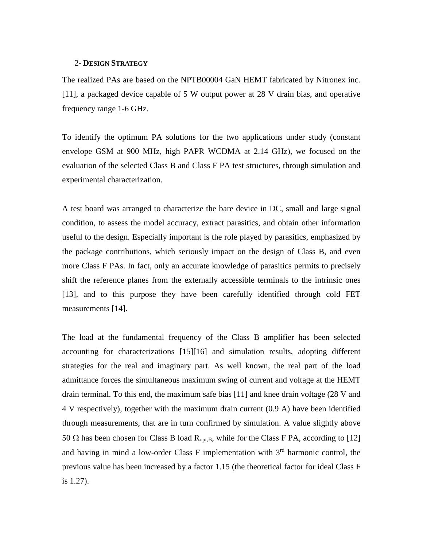#### 2- **DESIGN STRATEGY**

The realized PAs are based on the NPTB00004 GaN HEMT fabricated by Nitronex inc. [\[11\],](#page-12-2) a packaged device capable of 5 W output power at 28 V drain bias, and operative frequency range 1-6 GHz.

To identify the optimum PA solutions for the two applications under study (constant envelope GSM at 900 MHz, high PAPR WCDMA at 2.14 GHz), we focused on the evaluation of the selected Class B and Class F PA test structures, through simulation and experimental characterization.

A test board was arranged to characterize the bare device in DC, small and large signal condition, to assess the model accuracy, extract parasitics, and obtain other information useful to the design. Especially important is the role played by parasitics, emphasized by the package contributions, which seriously impact on the design of Class B, and even more Class F PAs. In fact, only an accurate knowledge of parasitics permits to precisely shift the reference planes from the externally accessible terminals to the intrinsic ones [\[13\],](#page-12-3) and to this purpose they have been carefully identified through cold FET measurements [\[14\].](#page-12-4)

The load at the fundamental frequency of the Class B amplifier has been selected accounting for characterizations [\[15\]\[16\]](#page-12-5) and simulation results, adopting different strategies for the real and imaginary part. As well known, the real part of the load admittance forces the simultaneous maximum swing of current and voltage at the HEMT drain terminal. To this end, the maximum safe bias [\[11\]](#page-12-2) and knee drain voltage (28 V and 4 V respectively), together with the maximum drain current (0.9 A) have been identified through measurements, that are in turn confirmed by simulation. A value slightly above 50 Ω has been chosen for Class B load  $R_{\text{opt.B}}$ , while for the Class F PA, according to [\[12\]](#page-12-6) and having in mind a low-order Class F implementation with 3<sup>rd</sup> harmonic control, the previous value has been increased by a factor 1.15 (the theoretical factor for ideal Class F is 1.27).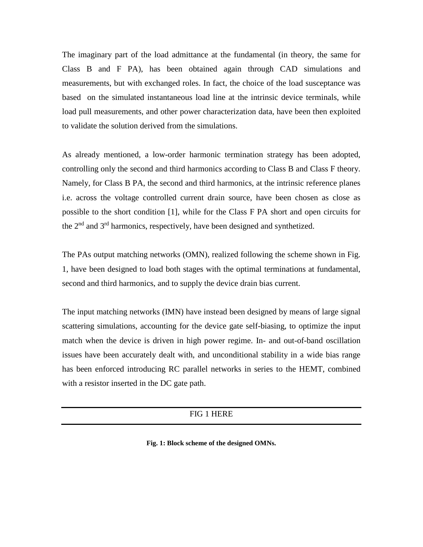The imaginary part of the load admittance at the fundamental (in theory, the same for Class B and F PA), has been obtained again through CAD simulations and measurements, but with exchanged roles. In fact, the choice of the load susceptance was based on the simulated instantaneous load line at the intrinsic device terminals, while load pull measurements, and other power characterization data, have been then exploited to validate the solution derived from the simulations.

As already mentioned, a low-order harmonic termination strategy has been adopted, controlling only the second and third harmonics according to Class B and Class F theory. Namely, for Class B PA, the second and third harmonics, at the intrinsic reference planes i.e. across the voltage controlled current drain source, have been chosen as close as possible to the short condition [\[1\],](#page-11-0) while for the Class F PA short and open circuits for the 2<sup>nd</sup> and 3<sup>rd</sup> harmonics, respectively, have been designed and synthetized.

The PAs output matching networks (OMN), realized following the scheme shown in [Fig.](#page-5-0)  [1,](#page-5-0) have been designed to load both stages with the optimal terminations at fundamental, second and third harmonics, and to supply the device drain bias current.

The input matching networks (IMN) have instead been designed by means of large signal scattering simulations, accounting for the device gate self-biasing, to optimize the input match when the device is driven in high power regime. In- and out-of-band oscillation issues have been accurately dealt with, and unconditional stability in a wide bias range has been enforced introducing RC parallel networks in series to the HEMT, combined with a resistor inserted in the DC gate path.

#### FIG 1 HERE

<span id="page-5-0"></span>**Fig. 1: Block scheme of the designed OMNs.**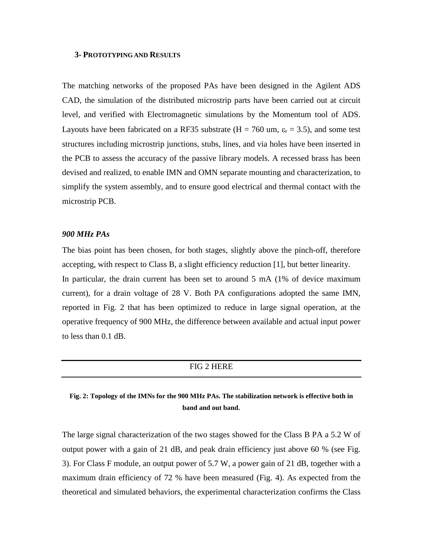#### **3- PROTOTYPING AND RESULTS**

The matching networks of the proposed PAs have been designed in the Agilent ADS CAD, the simulation of the distributed microstrip parts have been carried out at circuit level, and verified with Electromagnetic simulations by the Momentum tool of ADS. Layouts have been fabricated on a RF35 substrate (H = 760 um,  $\varepsilon_r$  = 3.5), and some test structures including microstrip junctions, stubs, lines, and via holes have been inserted in the PCB to assess the accuracy of the passive library models. A recessed brass has been devised and realized, to enable IMN and OMN separate mounting and characterization, to simplify the system assembly, and to ensure good electrical and thermal contact with the microstrip PCB.

## *900 MHz PAs*

The bias point has been chosen, for both stages, slightly above the pinch-off, therefore accepting, with respect to Class B, a slight efficiency reduction [\[1\],](#page-11-0) but better linearity. In particular, the drain current has been set to around 5 mA (1% of device maximum current), for a drain voltage of 28 V. Both PA configurations adopted the same IMN, reported in [Fig. 2](#page-6-0) that has been optimized to reduce in large signal operation, at the operative frequency of 900 MHz, the difference between available and actual input power to less than 0.1 dB.

#### FIG 2 HERE

# <span id="page-6-0"></span>**Fig. 2: Topology of the IMNs for the 900 MHz PAs. The stabilization network is effective both in band and out band.**

The large signal characterization of the two stages showed for the Class B PA a 5.2 W of output power with a gain of 21 dB, and peak drain efficiency just above 60 % (see [Fig.](#page-7-0)  [3\)](#page-7-0). For Class F module, an output power of 5.7 W, a power gain of 21 dB, together with a maximum drain efficiency of 72 % have been measured [\(Fig. 4\)](#page-7-1). As expected from the theoretical and simulated behaviors, the experimental characterization confirms the Class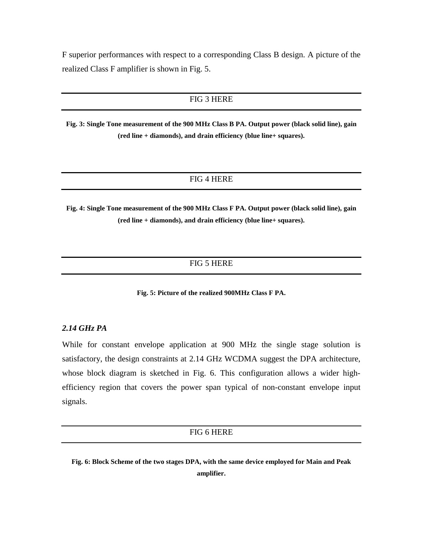F superior performances with respect to a corresponding Class B design. A picture of the realized Class F amplifier is shown in [Fig. 5.](#page-7-2)

# FIG 3 HERE

<span id="page-7-0"></span>**Fig. 3: Single Tone measurement of the 900 MHz Class B PA. Output power (black solid line), gain (red line + diamonds), and drain efficiency (blue line+ squares).**

## FIG 4 HERE

<span id="page-7-1"></span>**Fig. 4: Single Tone measurement of the 900 MHz Class F PA. Output power (black solid line), gain (red line + diamonds), and drain efficiency (blue line+ squares).**

# FIG 5 HERE

**Fig. 5: Picture of the realized 900MHz Class F PA.**

## <span id="page-7-2"></span>*2.14 GHz PA*

While for constant envelope application at 900 MHz the single stage solution is satisfactory, the design constraints at 2.14 GHz WCDMA suggest the DPA architecture, whose block diagram is sketched in [Fig. 6.](#page-7-3) This configuration allows a wider highefficiency region that covers the power span typical of non-constant envelope input signals.

#### FIG 6 HERE

<span id="page-7-3"></span>**Fig. 6: Block Scheme of the two stages DPA, with the same device employed for Main and Peak amplifier.**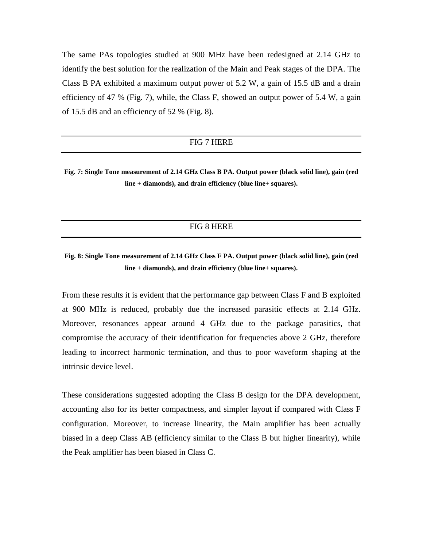The same PAs topologies studied at 900 MHz have been redesigned at 2.14 GHz to identify the best solution for the realization of the Main and Peak stages of the DPA. The Class B PA exhibited a maximum output power of 5.2 W, a gain of 15.5 dB and a drain efficiency of 47 % [\(Fig. 7\)](#page-8-0), while, the Class F, showed an output power of  $5.4$  W, a gain of 15.5 dB and an efficiency of 52 % [\(Fig. 8\)](#page-8-1).

# FIG 7 HERE

<span id="page-8-0"></span>**Fig. 7: Single Tone measurement of 2.14 GHz Class B PA. Output power (black solid line), gain (red line + diamonds), and drain efficiency (blue line+ squares).**

#### FIG 8 HERE

# <span id="page-8-1"></span>**Fig. 8: Single Tone measurement of 2.14 GHz Class F PA. Output power (black solid line), gain (red line + diamonds), and drain efficiency (blue line+ squares).**

From these results it is evident that the performance gap between Class F and B exploited at 900 MHz is reduced, probably due the increased parasitic effects at 2.14 GHz. Moreover, resonances appear around 4 GHz due to the package parasitics, that compromise the accuracy of their identification for frequencies above 2 GHz, therefore leading to incorrect harmonic termination, and thus to poor waveform shaping at the intrinsic device level.

These considerations suggested adopting the Class B design for the DPA development, accounting also for its better compactness, and simpler layout if compared with Class F configuration. Moreover, to increase linearity, the Main amplifier has been actually biased in a deep Class AB (efficiency similar to the Class B but higher linearity), while the Peak amplifier has been biased in Class C.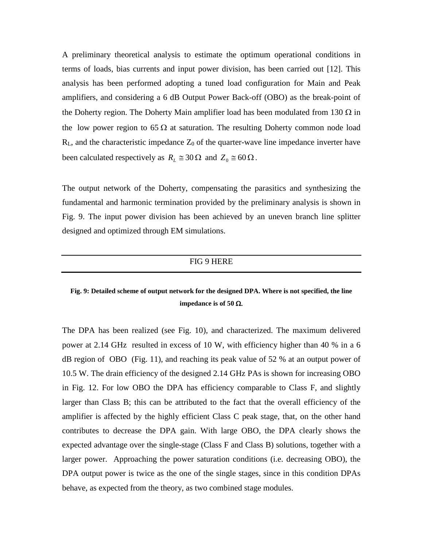A preliminary theoretical analysis to estimate the optimum operational conditions in terms of loads, bias currents and input power division, has been carried out [\[12\].](#page-12-6) This analysis has been performed adopting a tuned load configuration for Main and Peak amplifiers, and considering a 6 dB Output Power Back-off (OBO) as the break-point of the Doherty region. The Doherty Main amplifier load has been modulated from 130  $\Omega$  in the low power region to 65  $\Omega$  at saturation. The resulting Doherty common node load  $R<sub>L</sub>$ , and the characteristic impedance  $Z<sub>0</sub>$  of the quarter-wave line impedance inverter have been calculated respectively as  $R_L \approx 30 \Omega$  and  $Z_0 \approx 60 \Omega$ .

The output network of the Doherty, compensating the parasitics and synthesizing the fundamental and harmonic termination provided by the preliminary analysis is shown in [Fig. 9.](#page-9-0) The input power division has been achieved by an uneven branch line splitter designed and optimized through EM simulations.

# FIG 9 HERE

# <span id="page-9-0"></span>**Fig. 9: Detailed scheme of output network for the designed DPA. Where is not specified, the line impedance is of 50** Ω.

The DPA has been realized (see [Fig. 10\)](#page-10-0), and characterized. The maximum delivered power at 2.14 GHz resulted in excess of 10 W, with efficiency higher than 40 % in a 6 dB region of OBO [\(Fig. 11\)](#page-10-1), and reaching its peak value of 52 % at an output power of 10.5 W. The drain efficiency of the designed 2.14 GHz PAs is shown for increasing OBO in [Fig. 12.](#page-10-2) For low OBO the DPA has efficiency comparable to Class F, and slightly larger than Class B; this can be attributed to the fact that the overall efficiency of the amplifier is affected by the highly efficient Class C peak stage, that, on the other hand contributes to decrease the DPA gain. With large OBO, the DPA clearly shows the expected advantage over the single-stage (Class F and Class B) solutions, together with a larger power. Approaching the power saturation conditions (i.e. decreasing OBO), the DPA output power is twice as the one of the single stages, since in this condition DPAs behave, as expected from the theory, as two combined stage modules.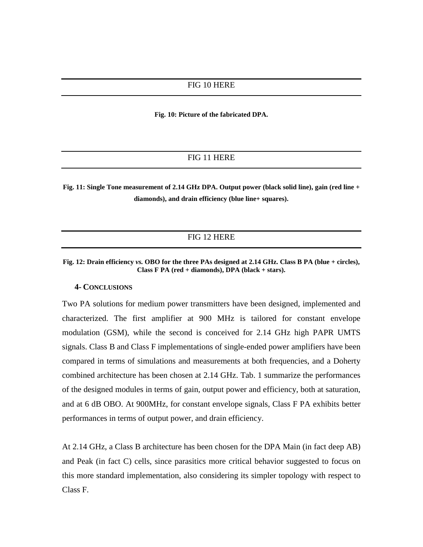**Fig. 10: Picture of the fabricated DPA.**

# FIG 11 HERE

<span id="page-10-1"></span><span id="page-10-0"></span>**Fig. 11: Single Tone measurement of 2.14 GHz DPA. Output power (black solid line), gain (red line + diamonds), and drain efficiency (blue line+ squares).**

## FIG 12 HERE

<span id="page-10-2"></span>**Fig. 12: Drain efficiency** *vs.* **OBO for the three PAs designed at 2.14 GHz. Class B PA (blue + circles), Class F PA (red + diamonds), DPA (black + stars).**

#### **4- CONCLUSIONS**

Two PA solutions for medium power transmitters have been designed, implemented and characterized. The first amplifier at 900 MHz is tailored for constant envelope modulation (GSM), while the second is conceived for 2.14 GHz high PAPR UMTS signals. Class B and Class F implementations of single-ended power amplifiers have been compared in terms of simulations and measurements at both frequencies, and a Doherty combined architecture has been chosen at 2.14 GHz. [Tab. 1](#page-11-6) summarize the performances of the designed modules in terms of gain, output power and efficiency, both at saturation, and at 6 dB OBO. At 900MHz, for constant envelope signals, Class F PA exhibits better performances in terms of output power, and drain efficiency.

At 2.14 GHz, a Class B architecture has been chosen for the DPA Main (in fact deep AB) and Peak (in fact C) cells, since parasitics more critical behavior suggested to focus on this more standard implementation, also considering its simpler topology with respect to Class F.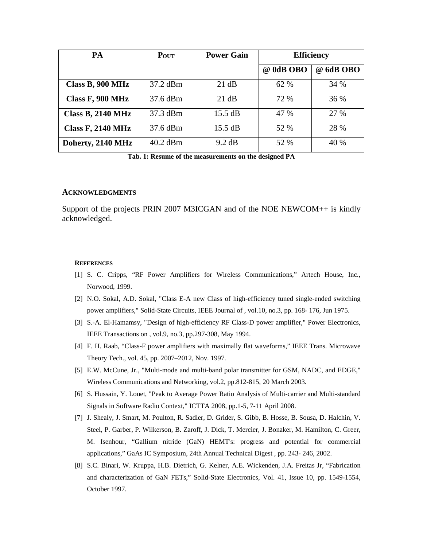| <b>PA</b>                | POUT       | <b>Power Gain</b> | <b>Efficiency</b> |           |
|--------------------------|------------|-------------------|-------------------|-----------|
|                          |            |                   | @ 0dB OBO         | @ 6dB OBO |
| Class B, 900 MHz         | 37.2 dBm   | 21 dB             | 62 %              | 34 %      |
| Class F, 900 MHz         | 37.6 dBm   | 21 dB             | 72 %              | 36 %      |
| <b>Class B, 2140 MHz</b> | 37.3 dBm   | $15.5 \text{ dB}$ | 47 %              | 27 %      |
| <b>Class F, 2140 MHz</b> | 37.6 dBm   | $15.5 \text{ dB}$ | 52 %              | 28 %      |
| Doherty, 2140 MHz        | $40.2$ dBm | 9.2 dB            | 52 %              | 40 %      |

**Tab. 1: Resume of the measurements on the designed PA**

#### <span id="page-11-6"></span>**ACKNOWLEDGMENTS**

Support of the projects PRIN 2007 M3ICGAN and of the NOE NEWCOM++ is kindly acknowledged.

#### **REFERENCES**

- <span id="page-11-0"></span>[1] S. C. Cripps, "RF Power Amplifiers for Wireless Communications," Artech House, Inc., Norwood, 1999.
- <span id="page-11-1"></span>[2] N.O. Sokal, A.D. Sokal, "Class E-A new Class of high-efficiency tuned single-ended switching power amplifiers," Solid-State Circuits, IEEE Journal of , vol.10, no.3, pp. 168- 176, Jun 1975.
- <span id="page-11-2"></span>[3] S.-A. El-Hamamsy, "Design of high-efficiency RF Class-D power amplifier," Power Electronics, IEEE Transactions on , vol.9, no.3, pp.297-308, May 1994.
- <span id="page-11-3"></span>[4] F. H. Raab, "Class-F power amplifiers with maximally flat waveforms," IEEE Trans. Microwave Theory Tech., vol. 45, pp. 2007–2012, Nov. 1997.
- <span id="page-11-4"></span>[5] E.W. McCune, Jr., "Multi-mode and multi-band polar transmitter for GSM, NADC, and EDGE," Wireless Communications and Networking, vol.2, pp.812-815, 20 March 2003.
- [6] S. Hussain, Y. Louet, "Peak to Average Power Ratio Analysis of Multi-carrier and Multi-standard Signals in Software Radio Context," ICTTA 2008, pp.1-5, 7-11 April 2008.
- <span id="page-11-5"></span>[7] J. Shealy, J. Smart, M. Poulton, R. Sadler, D. Grider, S. Gibb, B. Hosse, B. Sousa, D. Halchin, V. Steel, P. Garber, P. Wilkerson, B. Zaroff, J. Dick, T. Mercier, J. Bonaker, M. Hamilton, C. Greer, M. Isenhour, "Gallium nitride (GaN) HEMT's: progress and potential for commercial applications," GaAs IC Symposium, 24th Annual Technical Digest , pp. 243- 246, 2002.
- [8] S.C. Binari, W. Kruppa, H.B. Dietrich, G. Kelner, A.E. Wickenden, J.A. Freitas Jr, "Fabrication and characterization of GaN FETs," Solid-State Electronics, Vol. 41, Issue 10, pp. 1549-1554, October 1997.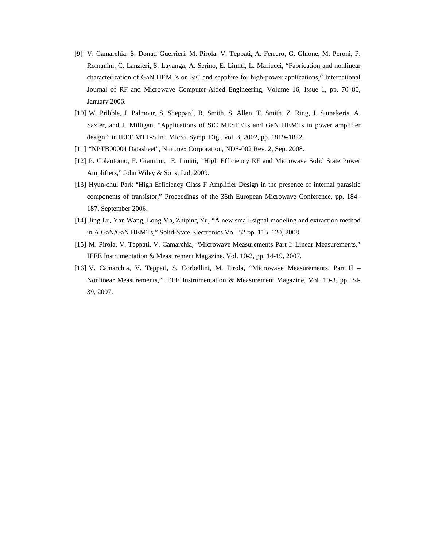- <span id="page-12-0"></span>[9] V. Camarchia, S. Donati Guerrieri, M. Pirola, V. Teppati, A. Ferrero, G. Ghione, M. Peroni, P. Romanini, C. Lanzieri, S. Lavanga, A. Serino, E. Limiti, L. Mariucci, "Fabrication and nonlinear characterization of GaN HEMTs on SiC and sapphire for high-power applications," International Journal of RF and Microwave Computer-Aided Engineering, Volume 16, Issue 1, pp. 70–80, January 2006.
- <span id="page-12-1"></span>[10] W. Pribble, J. Palmour, S. Sheppard, R. Smith, S. Allen, T. Smith, Z. Ring, J. Sumakeris, A. Saxler, and J. Milligan, "Applications of SiC MESFETs and GaN HEMTs in power amplifier design," in IEEE MTT-S Int. Micro. Symp. Dig., vol. 3, 2002, pp. 1819–1822.
- <span id="page-12-2"></span>[11] "NPTB00004 Datasheet", Nitronex Corporation, NDS-002 Rev. 2, Sep. 2008.
- <span id="page-12-6"></span>[12] P. Colantonio, F. Giannini, E. Limiti, "High Efficiency RF and Microwave Solid State Power Amplifiers," John Wiley & Sons, Ltd, 2009.
- <span id="page-12-3"></span>[13] Hyun-chul Park "High Efficiency Class F Amplifier Design in the presence of internal parasitic components of transistor," Proceedings of the 36th European Microwave Conference, pp. 184– 187, September 2006.
- <span id="page-12-4"></span>[14] Jing Lu, Yan Wang, Long Ma, Zhiping Yu, "A new small-signal modeling and extraction method in AlGaN/GaN HEMTs," Solid-State Electronics Vol. 52 pp. 115–120, 2008.
- <span id="page-12-5"></span>[15] M. Pirola, V. Teppati, V. Camarchia, "Microwave Measurements Part I: Linear Measurements," IEEE Instrumentation & Measurement Magazine, Vol. 10-2, pp. 14-19, 2007.
- [16] V. Camarchia, V. Teppati, S. Corbellini, M. Pirola, "Microwave Measurements. Part II Nonlinear Measurements," IEEE Instrumentation & Measurement Magazine, Vol. 10-3, pp. 34- 39, 2007.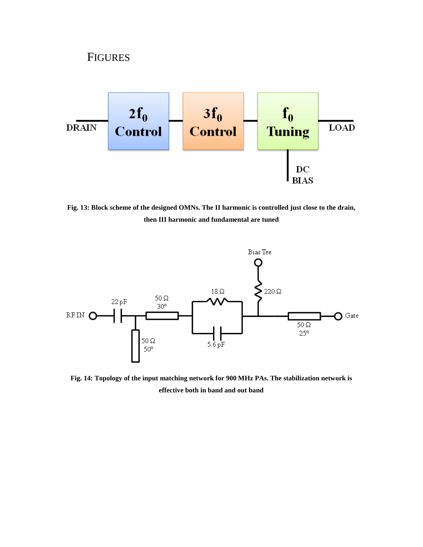

**Fig. 13: Block scheme of the designed OMNs. The II harmonic is controlled just close to the drain, then III harmonic and fundamental are tuned**



**Fig. 14: Topology of the input matching network for 900 MHz PAs. The stabilization network is effective both in band and out band**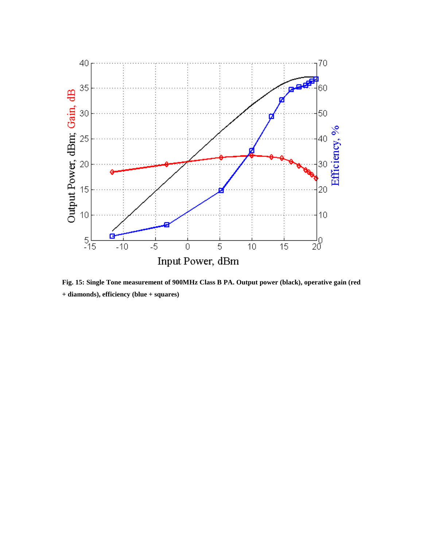

**Fig. 15: Single Tone measurement of 900MHz Class B PA. Output power (black), operative gain (red + diamonds), efficiency (blue + squares)**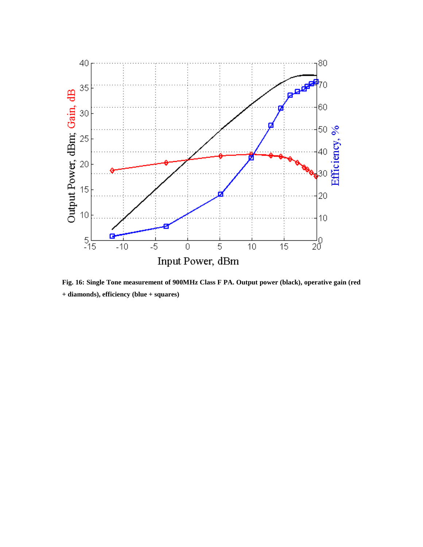

**Fig. 16: Single Tone measurement of 900MHz Class F PA. Output power (black), operative gain (red + diamonds), efficiency (blue + squares)**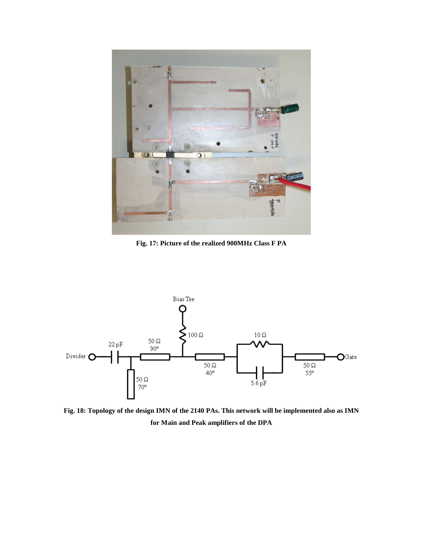

**Fig. 17: Picture of the realized 900MHz Class F PA**



**Fig. 18: Topology of the design IMN of the 2140 PAs. This network will be implemented also as IMN for Main and Peak amplifiers of the DPA**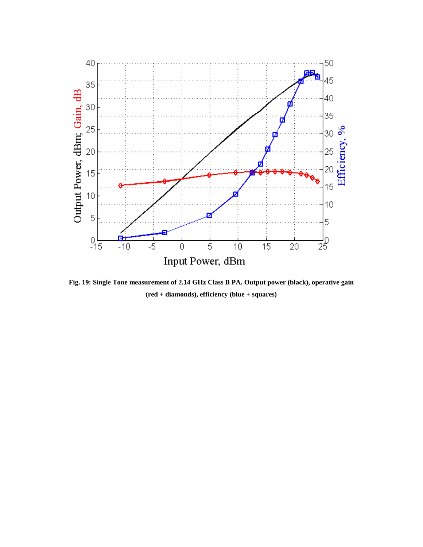

**Fig. 19: Single Tone measurement of 2.14 GHz Class B PA. Output power (black), operative gain (red + diamonds), efficiency (blue + squares)**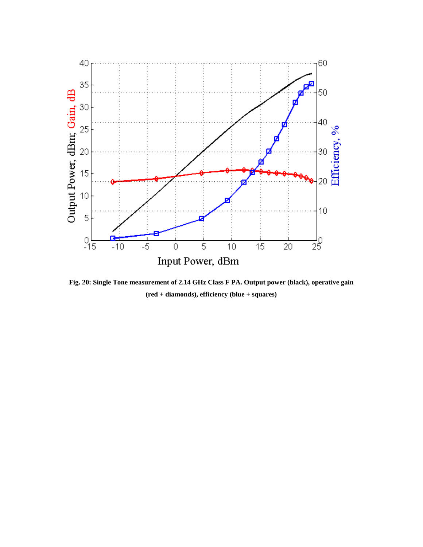

**Fig. 20: Single Tone measurement of 2.14 GHz Class F PA. Output power (black), operative gain (red + diamonds), efficiency (blue + squares)**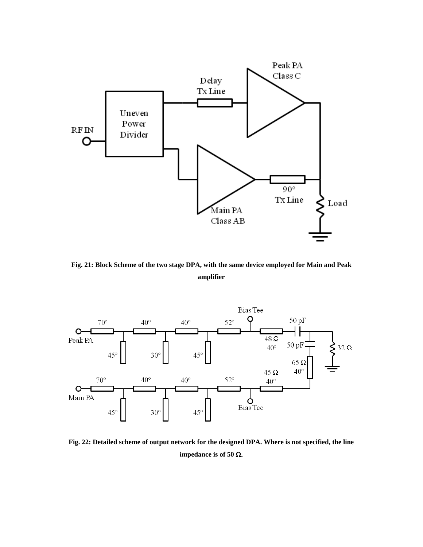

**Fig. 21: Block Scheme of the two stage DPA, with the same device employed for Main and Peak amplifier**



**Fig. 22: Detailed scheme of output network for the designed DPA. Where is not specified, the line impedance is of 50** Ω.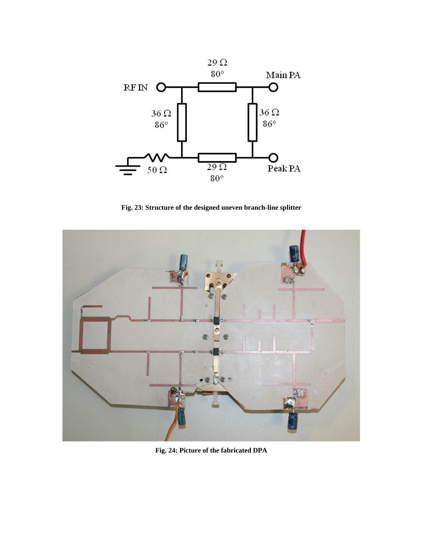

**Fig. 23: Structure of the designed uneven branch-line splitter**



**Fig. 24: Picture of the fabricated DPA**